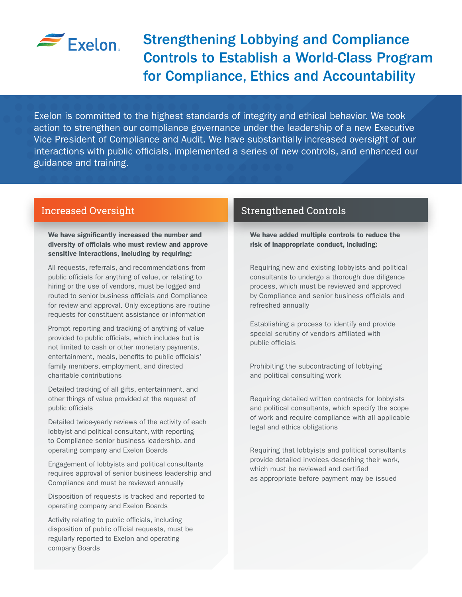

# Strengthening Lobbying and Compliance Controls to Establish a World-Class Program for Compliance, Ethics and Accountability

Exelon is committed to the highest standards of integrity and ethical behavior. We took action to strengthen our compliance governance under the leadership of a new Executive Vice President of Compliance and Audit. We have substantially increased oversight of our interactions with public officials, implemented a series of new controls, and enhanced our guidance and training.

We have significantly increased the number and diversity of officials who must review and approve sensitive interactions, including by requiring:

All requests, referrals, and recommendations from public officials for anything of value, or relating to hiring or the use of vendors, must be logged and routed to senior business officials and Compliance for review and approval. Only exceptions are routine requests for constituent assistance or information

Prompt reporting and tracking of anything of value provided to public officials, which includes but is not limited to cash or other monetary payments, entertainment, meals, benefits to public officials' family members, employment, and directed charitable contributions

Detailed tracking of all gifts, entertainment, and other things of value provided at the request of public officials

Detailed twice-yearly reviews of the activity of each lobbyist and political consultant, with reporting to Compliance senior business leadership, and operating company and Exelon Boards

Engagement of lobbyists and political consultants requires approval of senior business leadership and Compliance and must be reviewed annually

Disposition of requests is tracked and reported to operating company and Exelon Boards

Activity relating to public officials, including disposition of public official requests, must be regularly reported to Exelon and operating company Boards

### Increased Oversight New York Strengthened Controls

We have added multiple controls to reduce the risk of inappropriate conduct, including:

Requiring new and existing lobbyists and political consultants to undergo a thorough due diligence process, which must be reviewed and approved by Compliance and senior business officials and refreshed annually

Establishing a process to identify and provide special scrutiny of vendors affiliated with public officials

Prohibiting the subcontracting of lobbying and political consulting work

Requiring detailed written contracts for lobbyists and political consultants, which specify the scope of work and require compliance with all applicable legal and ethics obligations

Requiring that lobbyists and political consultants provide detailed invoices describing their work, which must be reviewed and certified as appropriate before payment may be issued